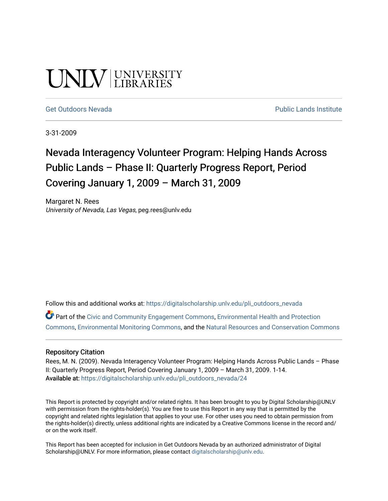# UNIV UNIVERSITY

[Get Outdoors Nevada](https://digitalscholarship.unlv.edu/pli_outdoors_nevada) **Public Lands Institute** Public Lands Institute

3-31-2009

### Nevada Interagency Volunteer Program: Helping Hands Across Public Lands – Phase II: Quarterly Progress Report, Period Covering January 1, 2009 – March 31, 2009

Margaret N. Rees University of Nevada, Las Vegas, peg.rees@unlv.edu

Follow this and additional works at: [https://digitalscholarship.unlv.edu/pli\\_outdoors\\_nevada](https://digitalscholarship.unlv.edu/pli_outdoors_nevada?utm_source=digitalscholarship.unlv.edu%2Fpli_outdoors_nevada%2F24&utm_medium=PDF&utm_campaign=PDFCoverPages)

Part of the [Civic and Community Engagement Commons](http://network.bepress.com/hgg/discipline/1028?utm_source=digitalscholarship.unlv.edu%2Fpli_outdoors_nevada%2F24&utm_medium=PDF&utm_campaign=PDFCoverPages), [Environmental Health and Protection](http://network.bepress.com/hgg/discipline/172?utm_source=digitalscholarship.unlv.edu%2Fpli_outdoors_nevada%2F24&utm_medium=PDF&utm_campaign=PDFCoverPages)  [Commons](http://network.bepress.com/hgg/discipline/172?utm_source=digitalscholarship.unlv.edu%2Fpli_outdoors_nevada%2F24&utm_medium=PDF&utm_campaign=PDFCoverPages), [Environmental Monitoring Commons,](http://network.bepress.com/hgg/discipline/931?utm_source=digitalscholarship.unlv.edu%2Fpli_outdoors_nevada%2F24&utm_medium=PDF&utm_campaign=PDFCoverPages) and the [Natural Resources and Conservation Commons](http://network.bepress.com/hgg/discipline/168?utm_source=digitalscholarship.unlv.edu%2Fpli_outdoors_nevada%2F24&utm_medium=PDF&utm_campaign=PDFCoverPages)

#### Repository Citation

Rees, M. N. (2009). Nevada Interagency Volunteer Program: Helping Hands Across Public Lands – Phase II: Quarterly Progress Report, Period Covering January 1, 2009 – March 31, 2009. 1-14. Available at: [https://digitalscholarship.unlv.edu/pli\\_outdoors\\_nevada/24](https://digitalscholarship.unlv.edu/pli_outdoors_nevada/24) 

This Report is protected by copyright and/or related rights. It has been brought to you by Digital Scholarship@UNLV with permission from the rights-holder(s). You are free to use this Report in any way that is permitted by the copyright and related rights legislation that applies to your use. For other uses you need to obtain permission from the rights-holder(s) directly, unless additional rights are indicated by a Creative Commons license in the record and/ or on the work itself.

This Report has been accepted for inclusion in Get Outdoors Nevada by an authorized administrator of Digital Scholarship@UNLV. For more information, please contact [digitalscholarship@unlv.edu.](mailto:digitalscholarship@unlv.edu)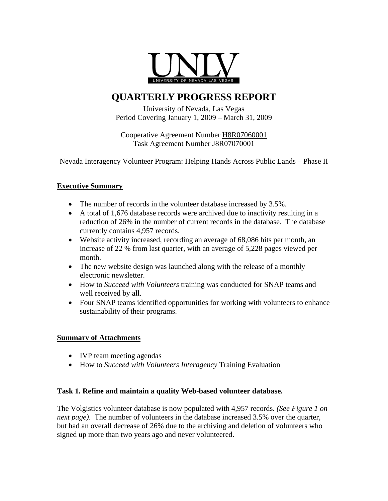

### **QUARTERLY PROGRESS REPORT**

University of Nevada, Las Vegas Period Covering January 1, 2009 – March 31, 2009

Cooperative Agreement Number H8R07060001 Task Agreement Number J8R07070001

Nevada Interagency Volunteer Program: Helping Hands Across Public Lands – Phase II

#### **Executive Summary**

- The number of records in the volunteer database increased by 3.5%.
- A total of 1,676 database records were archived due to inactivity resulting in a reduction of 26% in the number of current records in the database. The database currently contains 4,957 records.
- Website activity increased, recording an average of 68,086 hits per month, an increase of 22 % from last quarter, with an average of 5,228 pages viewed per month.
- The new website design was launched along with the release of a monthly electronic newsletter.
- How to *Succeed with Volunteers* training was conducted for SNAP teams and well received by all.
- Four SNAP teams identified opportunities for working with volunteers to enhance sustainability of their programs.

#### **Summary of Attachments**

- IVP team meeting agendas
- How to *Succeed with Volunteers Interagency* Training Evaluation

#### **Task 1. Refine and maintain a quality Web-based volunteer database.**

The Volgistics volunteer database is now populated with 4,957 records. *(See Figure 1 on next page)*. The number of volunteers in the database increased 3.5% over the quarter, but had an overall decrease of 26% due to the archiving and deletion of volunteers who signed up more than two years ago and never volunteered.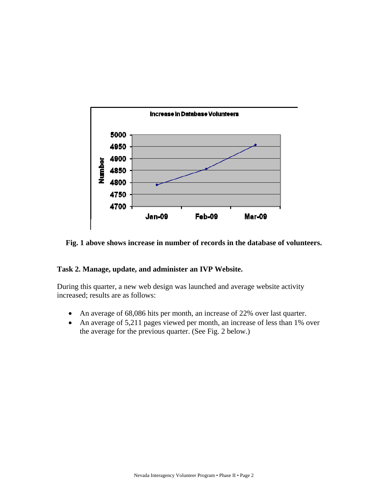

**Fig. 1 above shows increase in number of records in the database of volunteers.** 

#### **Task 2. Manage, update, and administer an IVP Website.**

During this quarter, a new web design was launched and average website activity increased; results are as follows:

- An average of 68,086 hits per month, an increase of 22% over last quarter.
- An average of 5,211 pages viewed per month, an increase of less than 1% over the average for the previous quarter. (See Fig. 2 below.)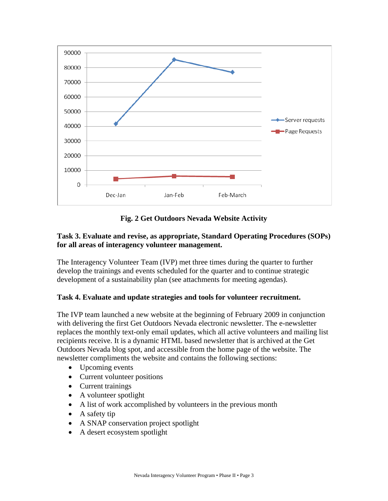

**Fig. 2 Get Outdoors Nevada Website Activity** 

#### **Task 3. Evaluate and revise, as appropriate, Standard Operating Procedures (SOPs) for all areas of interagency volunteer management.**

The Interagency Volunteer Team (IVP) met three times during the quarter to further develop the trainings and events scheduled for the quarter and to continue strategic development of a sustainability plan (see attachments for meeting agendas).

#### **Task 4. Evaluate and update strategies and tools for volunteer recruitment.**

The IVP team launched a new website at the beginning of February 2009 in conjunction with delivering the first Get Outdoors Nevada electronic newsletter. The e-newsletter replaces the monthly text-only email updates, which all active volunteers and mailing list recipients receive. It is a dynamic HTML based newsletter that is archived at the Get Outdoors Nevada blog spot, and accessible from the home page of the website. The newsletter compliments the website and contains the following sections:

- Upcoming events
- Current volunteer positions
- Current trainings
- A volunteer spotlight
- A list of work accomplished by volunteers in the previous month
- A safety tip
- A SNAP conservation project spotlight
- A desert ecosystem spotlight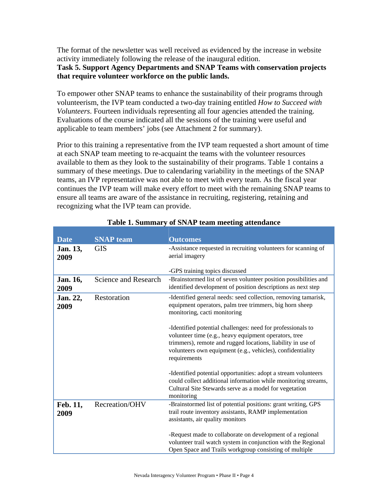The format of the newsletter was well received as evidenced by the increase in website activity immediately following the release of the inaugural edition.

#### **Task 5. Support Agency Departments and SNAP Teams with conservation projects that require volunteer workforce on the public lands.**

To empower other SNAP teams to enhance the sustainability of their programs through volunteerism, the IVP team conducted a two-day training entitled *How to Succeed with Volunteers*. Fourteen individuals representing all four agencies attended the training. Evaluations of the course indicated all the sessions of the training were useful and applicable to team members' jobs (see Attachment 2 for summary).

Prior to this training a representative from the IVP team requested a short amount of time at each SNAP team meeting to re-acquaint the teams with the volunteer resources available to them as they look to the sustainability of their programs. Table 1 contains a summary of these meetings. Due to calendaring variability in the meetings of the SNAP teams, an IVP representative was not able to meet with every team. As the fiscal year continues the IVP team will make every effort to meet with the remaining SNAP teams to ensure all teams are aware of the assistance in recruiting, registering, retaining and recognizing what the IVP team can provide.

| <b>Date</b>      | <b>SNAP</b> team            | <b>Outcomes</b>                                                                                                                                                                                                                                                   |
|------------------|-----------------------------|-------------------------------------------------------------------------------------------------------------------------------------------------------------------------------------------------------------------------------------------------------------------|
| Jan. 13,<br>2009 | <b>GIS</b>                  | -Assistance requested in recruiting volunteers for scanning of<br>aerial imagery                                                                                                                                                                                  |
|                  |                             | -GPS training topics discussed                                                                                                                                                                                                                                    |
| Jan. 16,<br>2009 | <b>Science and Research</b> | -Brainstormed list of seven volunteer position possibilities and<br>identified development of position descriptions as next step                                                                                                                                  |
| Jan. 22,<br>2009 | Restoration                 | -Identified general needs: seed collection, removing tamarisk,<br>equipment operators, palm tree trimmers, big horn sheep<br>monitoring, cacti monitoring                                                                                                         |
|                  |                             | -Identified potential challenges: need for professionals to<br>volunteer time (e.g., heavy equipment operators, tree<br>trimmers), remote and rugged locations, liability in use of<br>volunteers own equipment (e.g., vehicles), confidentiality<br>requirements |
|                  |                             | -Identified potential opportunities: adopt a stream volunteers<br>could collect additional information while monitoring streams,<br>Cultural Site Stewards serve as a model for vegetation<br>monitoring                                                          |
| Feb. 11,<br>2009 | Recreation/OHV              | -Brainstormed list of potential positions: grant writing, GPS<br>trail route inventory assistants, RAMP implementation<br>assistants, air quality monitors                                                                                                        |
|                  |                             | -Request made to collaborate on development of a regional<br>volunteer trail watch system in conjunction with the Regional<br>Open Space and Trails workgroup consisting of multiple                                                                              |

#### **Table 1. Summary of SNAP team meeting attendance**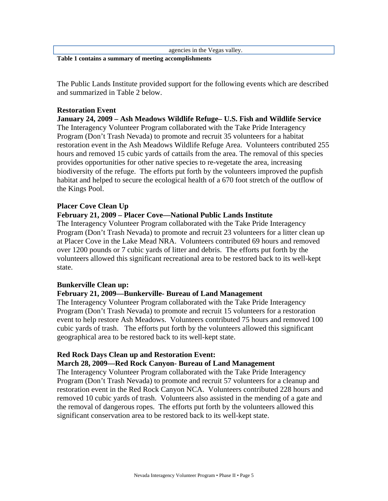agencies in the Vegas valley.

**Table 1 contains a summary of meeting accomplishments** 

The Public Lands Institute provided support for the following events which are described and summarized in Table 2 below.

#### **Restoration Event**

**January 24, 2009 – Ash Meadows Wildlife Refuge– U.S. Fish and Wildlife Service**  The Interagency Volunteer Program collaborated with the Take Pride Interagency Program (Don't Trash Nevada) to promote and recruit 35 volunteers for a habitat restoration event in the Ash Meadows Wildlife Refuge Area. Volunteers contributed 255 hours and removed 15 cubic yards of cattails from the area. The removal of this species provides opportunities for other native species to re-vegetate the area, increasing biodiversity of the refuge. The efforts put forth by the volunteers improved the pupfish habitat and helped to secure the ecological health of a 670 foot stretch of the outflow of the Kings Pool.

#### **Placer Cove Clean Up**

#### **February 21, 2009 – Placer Cove—National Public Lands Institute**

The Interagency Volunteer Program collaborated with the Take Pride Interagency Program (Don't Trash Nevada) to promote and recruit 23 volunteers for a litter clean up at Placer Cove in the Lake Mead NRA. Volunteers contributed 69 hours and removed over 1200 pounds or 7 cubic yards of litter and debris. The efforts put forth by the volunteers allowed this significant recreational area to be restored back to its well-kept state.

#### **Bunkerville Clean up:**

#### **February 21, 2009—Bunkerville- Bureau of Land Management**

The Interagency Volunteer Program collaborated with the Take Pride Interagency Program (Don't Trash Nevada) to promote and recruit 15 volunteers for a restoration event to help restore Ash Meadows. Volunteers contributed 75 hours and removed 100 cubic yards of trash. The efforts put forth by the volunteers allowed this significant geographical area to be restored back to its well-kept state.

#### **Red Rock Days Clean up and Restoration Event:**

#### **March 28, 2009—Red Rock Canyon- Bureau of Land Management**

The Interagency Volunteer Program collaborated with the Take Pride Interagency Program (Don't Trash Nevada) to promote and recruit 57 volunteers for a cleanup and restoration event in the Red Rock Canyon NCA. Volunteers contributed 228 hours and removed 10 cubic yards of trash. Volunteers also assisted in the mending of a gate and the removal of dangerous ropes. The efforts put forth by the volunteers allowed this significant conservation area to be restored back to its well-kept state.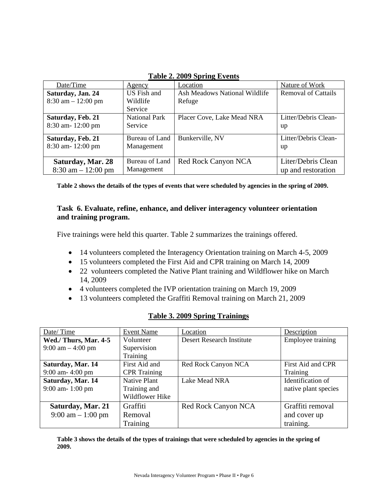| $1400 \div 200$                      |                      |                               |                            |
|--------------------------------------|----------------------|-------------------------------|----------------------------|
| Date/Time                            | <u>Agency</u>        | Location                      | Nature of Work             |
| Saturday, Jan. 24                    | US Fish and          | Ash Meadows National Wildlife | <b>Removal of Cattails</b> |
| $8:30 \text{ am} - 12:00 \text{ pm}$ | Wildlife             | Refuge                        |                            |
|                                      | Service              |                               |                            |
| Saturday, Feb. 21                    | <b>National Park</b> | Placer Cove, Lake Mead NRA    | Litter/Debris Clean-       |
| 8:30 am-12:00 pm                     | Service              |                               | up                         |
| Saturday, Feb. 21                    | Bureau of Land       | Bunkerville, NV               | Litter/Debris Clean-       |
| 8:30 am-12:00 pm                     | Management           |                               | up                         |
|                                      |                      |                               |                            |
| Saturday, Mar. 28                    | Bureau of Land       | Red Rock Canyon NCA           | Liter/Debris Clean         |
| $8:30 \text{ am} - 12:00 \text{ pm}$ | Management           |                               | up and restoration         |

**Table 2. 2009 Spring Events**

**Table 2 shows the details of the types of events that were scheduled by agencies in the spring of 2009.** 

#### **Task 6. Evaluate, refine, enhance, and deliver interagency volunteer orientation and training program.**

Five trainings were held this quarter. Table 2 summarizes the trainings offered.

- 14 volunteers completed the Interagency Orientation training on March 4-5, 2009
- 15 volunteers completed the First Aid and CPR training on March 14, 2009
- 22 volunteers completed the Native Plant training and Wildflower hike on March 14, 2009
- 4 volunteers completed the IVP orientation training on March 19, 2009
- 13 volunteers completed the Graffiti Removal training on March 21, 2009

| <b>Table 3. 2009 Spring Trainings</b> |  |
|---------------------------------------|--|
|                                       |  |

| Date/Time                           | Event Name          | Location                         | Description          |
|-------------------------------------|---------------------|----------------------------------|----------------------|
| Wed./ Thurs, Mar. 4-5               | Volunteer           | <b>Desert Research Institute</b> | Employee training    |
| $9:00 \text{ am} - 4:00 \text{ pm}$ | Supervision         |                                  |                      |
|                                     | <b>Training</b>     |                                  |                      |
| Saturday, Mar. 14                   | First Aid and       | Red Rock Canyon NCA              | First Aid and CPR    |
| 9:00 am- 4:00 pm                    | <b>CPR</b> Training |                                  | Training             |
| Saturday, Mar. 14                   | Native Plant        | Lake Mead NRA                    | Identification of    |
| 9:00 am- 1:00 pm                    | Training and        |                                  | native plant species |
|                                     | Wildflower Hike     |                                  |                      |
| Saturday, Mar. 21                   | Graffiti            | Red Rock Canyon NCA              | Graffiti removal     |
| $9:00 \text{ am} - 1:00 \text{ pm}$ | Removal             |                                  | and cover up         |
|                                     | Training            |                                  | training.            |

**Table 3 shows the details of the types of trainings that were scheduled by agencies in the spring of 2009.**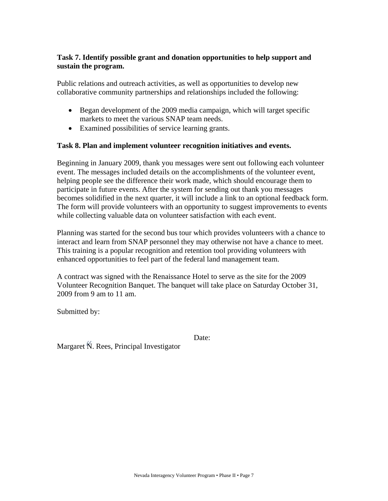#### **Task 7. Identify possible grant and donation opportunities to help support and sustain the program.**

Public relations and outreach activities, as well as opportunities to develop new collaborative community partnerships and relationships included the following:

- Began development of the 2009 media campaign, which will target specific markets to meet the various SNAP team needs.
- Examined possibilities of service learning grants.

#### **Task 8. Plan and implement volunteer recognition initiatives and events.**

Beginning in January 2009, thank you messages were sent out following each volunteer event. The messages included details on the accomplishments of the volunteer event, helping people see the difference their work made, which should encourage them to participate in future events. After the system for sending out thank you messages becomes solidified in the next quarter, it will include a link to an optional feedback form. The form will provide volunteers with an opportunity to suggest improvements to events while collecting valuable data on volunteer satisfaction with each event.

Planning was started for the second bus tour which provides volunteers with a chance to interact and learn from SNAP personnel they may otherwise not have a chance to meet. This training is a popular recognition and retention tool providing volunteers with enhanced opportunities to feel part of the federal land management team.

A contract was signed with the Renaissance Hotel to serve as the site for the 2009 Volunteer Recognition Banquet. The banquet will take place on Saturday October 31, 2009 from 9 am to 11 am.

Submitted by:

Date:

Margaret N. Rees, Principal Investigator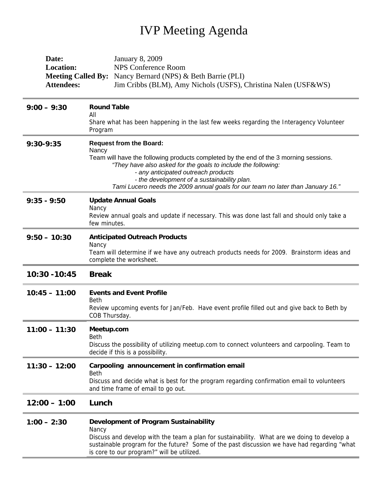### IVP Meeting Agenda

| Date:             | January 8, 2009                                                                                                                                                                                                                                                                                                                 |  |
|-------------------|---------------------------------------------------------------------------------------------------------------------------------------------------------------------------------------------------------------------------------------------------------------------------------------------------------------------------------|--|
| <b>Location:</b>  | <b>NPS Conference Room</b>                                                                                                                                                                                                                                                                                                      |  |
|                   | <b>Meeting Called By:</b> Nancy Bernard (NPS) & Beth Barrie (PLI)                                                                                                                                                                                                                                                               |  |
| <b>Attendees:</b> | Jim Cribbs (BLM), Amy Nichols (USFS), Christina Nalen (USF&WS)                                                                                                                                                                                                                                                                  |  |
| $9:00 - 9:30$     | <b>Round Table</b><br>All                                                                                                                                                                                                                                                                                                       |  |
|                   | Share what has been happening in the last few weeks regarding the Interagency Volunteer<br>Program                                                                                                                                                                                                                              |  |
| 9:30-9:35         | <b>Request from the Board:</b><br>Nancy                                                                                                                                                                                                                                                                                         |  |
|                   | Team will have the following products completed by the end of the 3 morning sessions.<br>"They have also asked for the goals to include the following:<br>- any anticipated outreach products<br>- the development of a sustainability plan.<br>Tami Lucero needs the 2009 annual goals for our team no later than January 16." |  |
| $9:35 - 9:50$     | <b>Update Annual Goals</b>                                                                                                                                                                                                                                                                                                      |  |
|                   | Nancy<br>Review annual goals and update if necessary. This was done last fall and should only take a<br>few minutes.                                                                                                                                                                                                            |  |
| $9:50 - 10:30$    | <b>Anticipated Outreach Products</b>                                                                                                                                                                                                                                                                                            |  |
|                   | Nancy<br>Team will determine if we have any outreach products needs for 2009. Brainstorm ideas and<br>complete the worksheet.                                                                                                                                                                                                   |  |
| 10:30 - 10:45     | <b>Break</b>                                                                                                                                                                                                                                                                                                                    |  |
| $10:45 - 11:00$   | <b>Events and Event Profile</b>                                                                                                                                                                                                                                                                                                 |  |
|                   | <b>Beth</b><br>Review upcoming events for Jan/Feb. Have event profile filled out and give back to Beth by<br>COB Thursday.                                                                                                                                                                                                      |  |
| $11:00 - 11:30$   | Meetup.com                                                                                                                                                                                                                                                                                                                      |  |
|                   | Beth<br>Discuss the possibility of utilizing meetup.com to connect volunteers and carpooling. Team to<br>decide if this is a possibility.                                                                                                                                                                                       |  |
| $11:30 - 12:00$   | Carpooling announcement in confirmation email<br><b>Beth</b>                                                                                                                                                                                                                                                                    |  |
|                   | Discuss and decide what is best for the program regarding confirmation email to volunteers<br>and time frame of email to go out.                                                                                                                                                                                                |  |
| $12:00 - 1:00$    | Lunch                                                                                                                                                                                                                                                                                                                           |  |
| $1:00 - 2:30$     | Development of Program Sustainability<br>Nancy                                                                                                                                                                                                                                                                                  |  |
|                   | Discuss and develop with the team a plan for sustainability. What are we doing to develop a<br>sustainable program for the future? Some of the past discussion we have had regarding "what<br>is core to our program?" will be utilized.                                                                                        |  |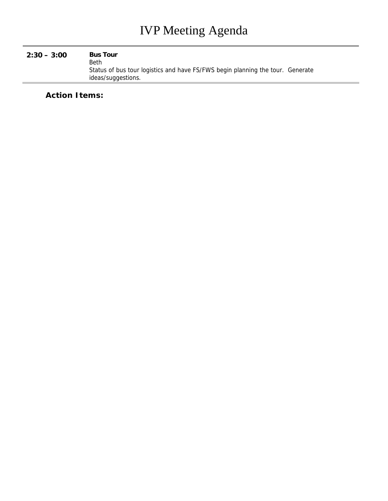#### **2:30 – 3:00 Bus Tour**

Beth Status of bus tour logistics and have FS/FWS begin planning the tour. Generate ideas/suggestions.

**Action Items:**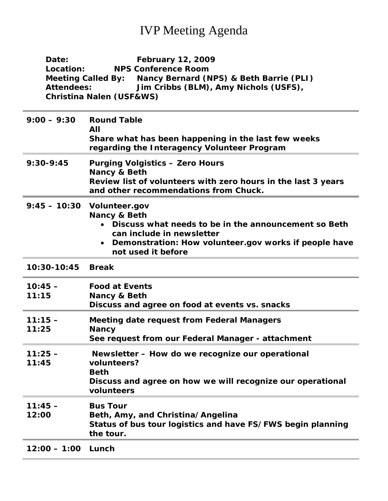### IVP Meeting Agenda

| Date:                | <b>February 12, 2009</b>                                                                                                                                                                                       |  |
|----------------------|----------------------------------------------------------------------------------------------------------------------------------------------------------------------------------------------------------------|--|
| Location:            | <b>NPS Conference Room</b>                                                                                                                                                                                     |  |
|                      | Meeting Called By: Nancy Bernard (NPS) & Beth Barrie (PLI)                                                                                                                                                     |  |
| <b>Attendees:</b>    | Jim Cribbs (BLM), Amy Nichols (USFS),                                                                                                                                                                          |  |
|                      | <b>Christina Nalen (USF&amp;WS)</b>                                                                                                                                                                            |  |
| $9:00 - 9:30$        | <b>Round Table</b><br>All<br>Share what has been happening in the last few weeks<br>regarding the Interagency Volunteer Program                                                                                |  |
| $9:30-9:45$          | <b>Purging Volgistics - Zero Hours</b><br>Nancy & Beth<br>Review list of volunteers with zero hours in the last 3 years<br>and other recommendations from Chuck.                                               |  |
|                      | 9:45 - 10:30 Volunteer.gov<br>Nancy & Beth<br>Discuss what needs to be in the announcement so Beth<br>can include in newsletter<br>Demonstration: How volunteer.gov works if people have<br>not used it before |  |
| 10:30-10:45          | <b>Break</b>                                                                                                                                                                                                   |  |
| $10:45 -$            | <b>Food at Events</b>                                                                                                                                                                                          |  |
| 11:15                | Nancy & Beth                                                                                                                                                                                                   |  |
|                      | Discuss and agree on food at events vs. snacks                                                                                                                                                                 |  |
| $11:15 -$<br>11:25   | <b>Meeting date request from Federal Managers</b><br><b>Nancy</b>                                                                                                                                              |  |
|                      | See request from our Federal Manager - attachment                                                                                                                                                              |  |
| $11:25 -$<br>11:45   | Newsletter - How do we recognize our operational<br>volunteers?<br><b>Beth</b><br>Discuss and agree on how we will recognize our operational<br>volunteers                                                     |  |
| $11:45 -$<br>12:00   | <b>Bus Tour</b><br>Beth, Amy, and Christina/Angelina<br>Status of bus tour logistics and have FS/FWS begin planning<br>the tour.                                                                               |  |
| $12:00 - 1:00$ Lunch |                                                                                                                                                                                                                |  |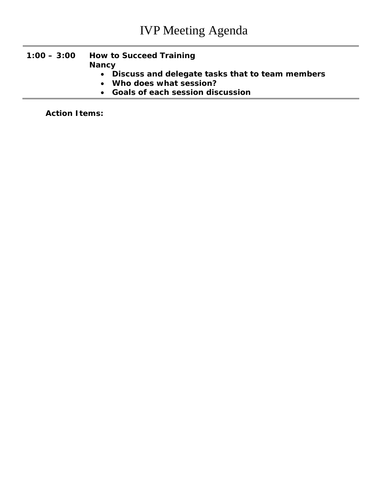#### **1:00 – 3:00 How to Succeed Training Nancy**

- **Discuss and delegate tasks that to team members**
- **Who does what session?**
- **Goals of each session discussion**

**Action Items:**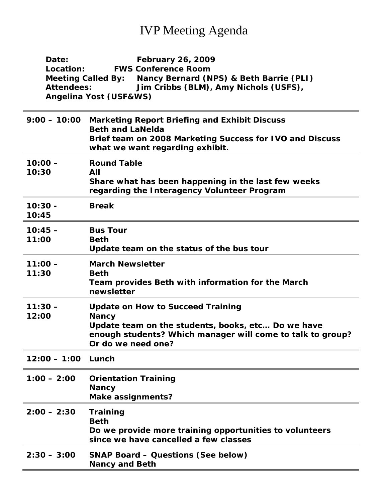## IVP Meeting Agenda

| Date:                                                                | <b>February 26, 2009</b>                                                                           |  |
|----------------------------------------------------------------------|----------------------------------------------------------------------------------------------------|--|
| Location:                                                            | <b>FWS Conference Room</b>                                                                         |  |
| Nancy Bernard (NPS) & Beth Barrie (PLI)<br><b>Meeting Called By:</b> |                                                                                                    |  |
| <b>Attendees:</b>                                                    | Jim Cribbs (BLM), Amy Nichols (USFS),                                                              |  |
|                                                                      | Angelina Yost (USF&WS)                                                                             |  |
|                                                                      |                                                                                                    |  |
| $9:00 - 10:00$                                                       | <b>Marketing Report Briefing and Exhibit Discuss</b>                                               |  |
|                                                                      | <b>Beth and LaNelda</b>                                                                            |  |
|                                                                      | Brief team on 2008 Marketing Success for IVO and Discuss<br>what we want regarding exhibit.        |  |
|                                                                      |                                                                                                    |  |
| $10:00 -$                                                            | <b>Round Table</b>                                                                                 |  |
| 10:30                                                                | All                                                                                                |  |
|                                                                      | Share what has been happening in the last few weeks<br>regarding the Interagency Volunteer Program |  |
|                                                                      |                                                                                                    |  |
| $10:30 -$<br>10:45                                                   | <b>Break</b>                                                                                       |  |
|                                                                      |                                                                                                    |  |
| $10:45 -$                                                            | <b>Bus Tour</b>                                                                                    |  |
| 11:00                                                                | <b>Beth</b>                                                                                        |  |
|                                                                      | Update team on the status of the bus tour                                                          |  |
| $11:00 -$                                                            | <b>March Newsletter</b>                                                                            |  |
| 11:30                                                                | <b>Beth</b>                                                                                        |  |
|                                                                      | Team provides Beth with information for the March                                                  |  |
|                                                                      | newsletter                                                                                         |  |
| $11:30 -$                                                            | <b>Update on How to Succeed Training</b>                                                           |  |
| 12:00                                                                | <b>Nancy</b>                                                                                       |  |
|                                                                      | Update team on the students, books, etc Do we have                                                 |  |
|                                                                      | enough students? Which manager will come to talk to group?                                         |  |
|                                                                      | Or do we need one?                                                                                 |  |
| 12:00 - 1:00 Lunch                                                   |                                                                                                    |  |
|                                                                      |                                                                                                    |  |
| $1:00 - 2:00$                                                        | <b>Orientation Training</b>                                                                        |  |
|                                                                      | <b>Nancy</b>                                                                                       |  |
|                                                                      | <b>Make assignments?</b>                                                                           |  |
| $2:00 - 2:30$                                                        | <b>Training</b>                                                                                    |  |
|                                                                      | <b>Beth</b>                                                                                        |  |
|                                                                      | Do we provide more training opportunities to volunteers                                            |  |
|                                                                      | since we have cancelled a few classes                                                              |  |
| $2:30 - 3:00$                                                        | <b>SNAP Board – Questions (See below)</b>                                                          |  |
|                                                                      | <b>Nancy and Beth</b>                                                                              |  |
|                                                                      |                                                                                                    |  |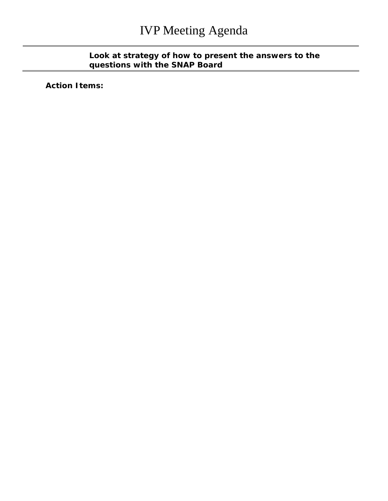#### **Look at strategy of how to present the answers to the questions with the SNAP Board**

**Action Items:**